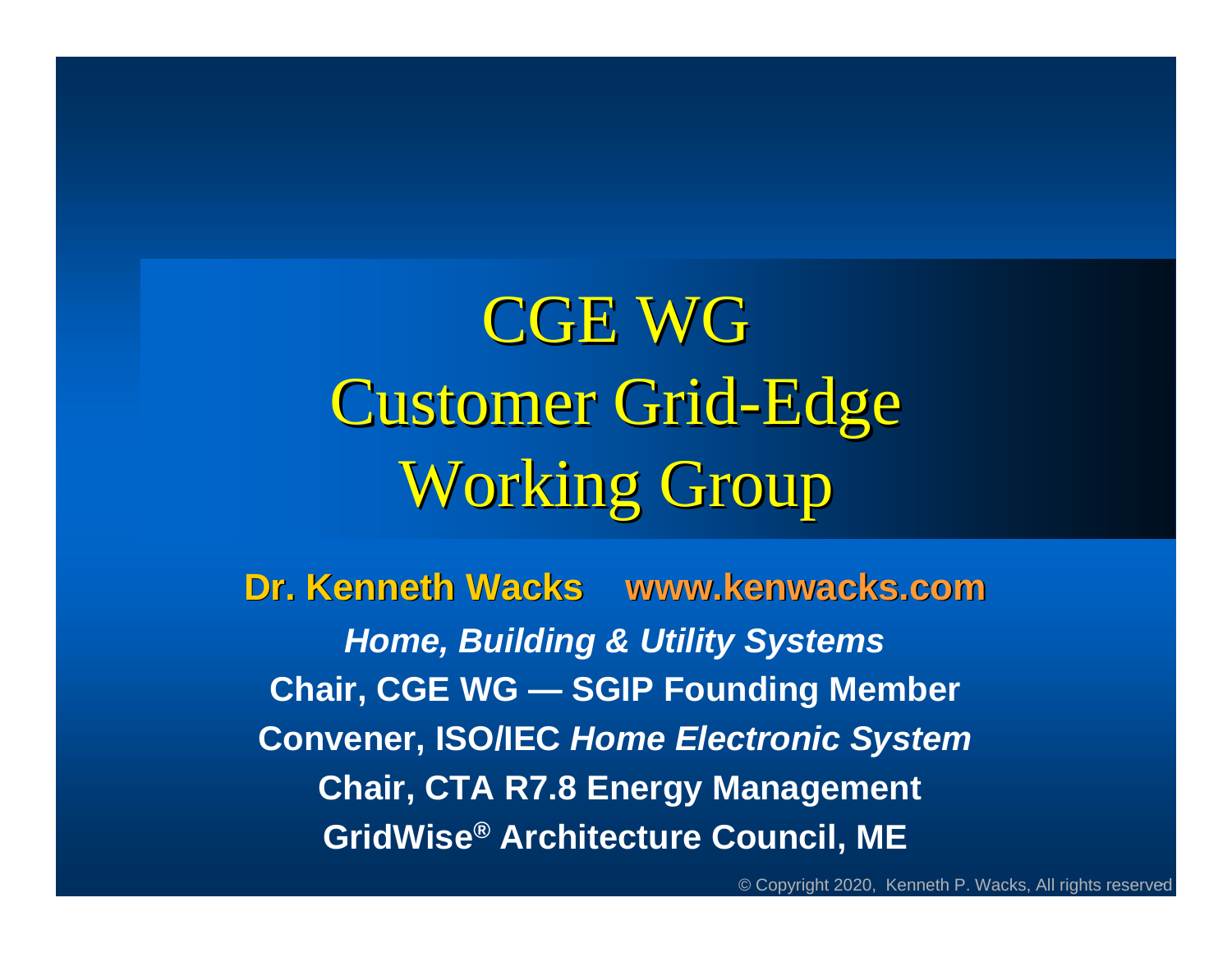CGE WGCustomer Grid-Edge Working Group

**Dr. Kenneth Wacks www.kenwacks.com** *Home, Building & Utility Systems* **Chair, CGE WG — SGIP Founding Member Convener, ISO/IEC** *Home Electronic System*  **Chair, CTA R7.8 Energy Management GridWise® Architecture Council, ME**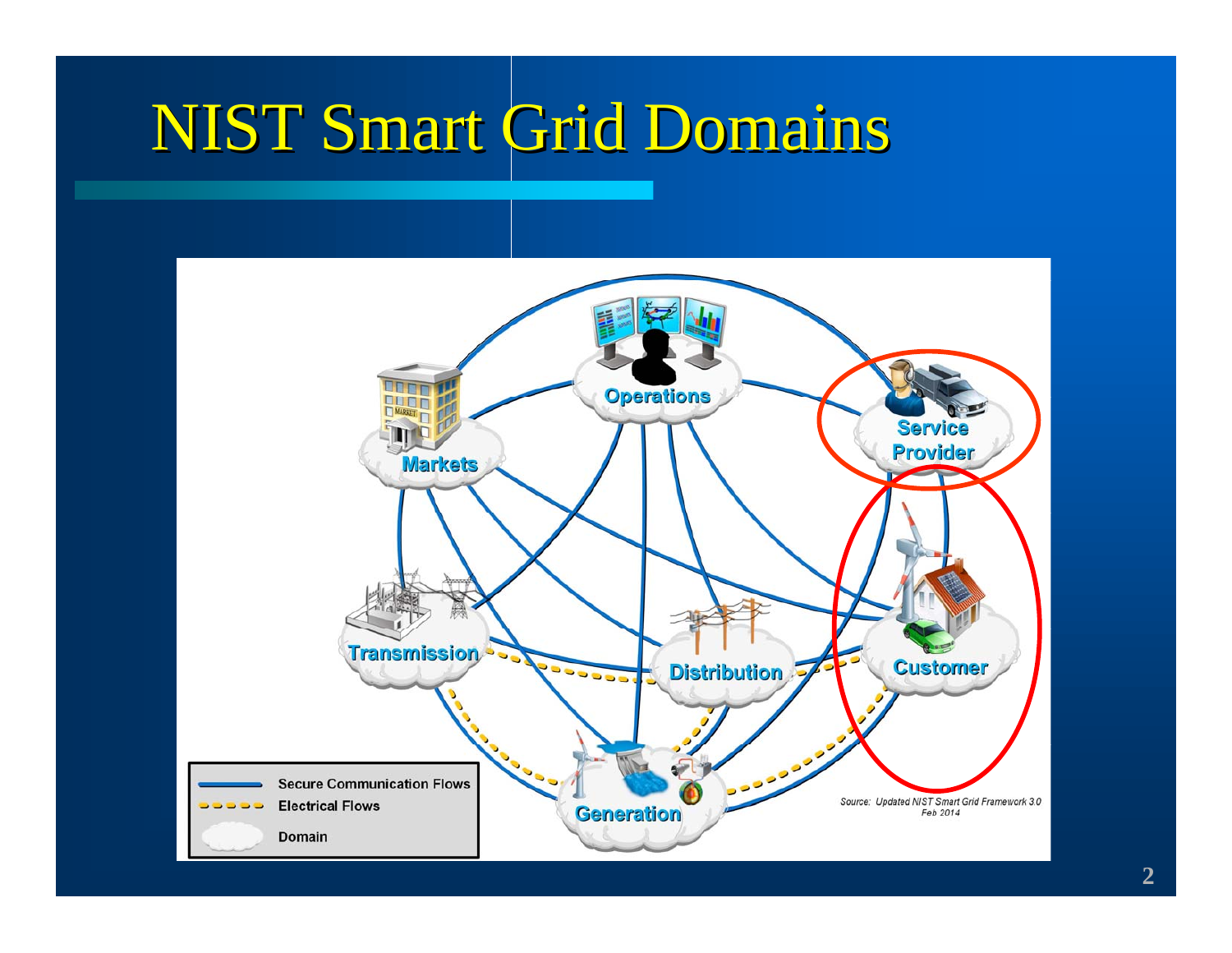## NIST Smart Grid Domains

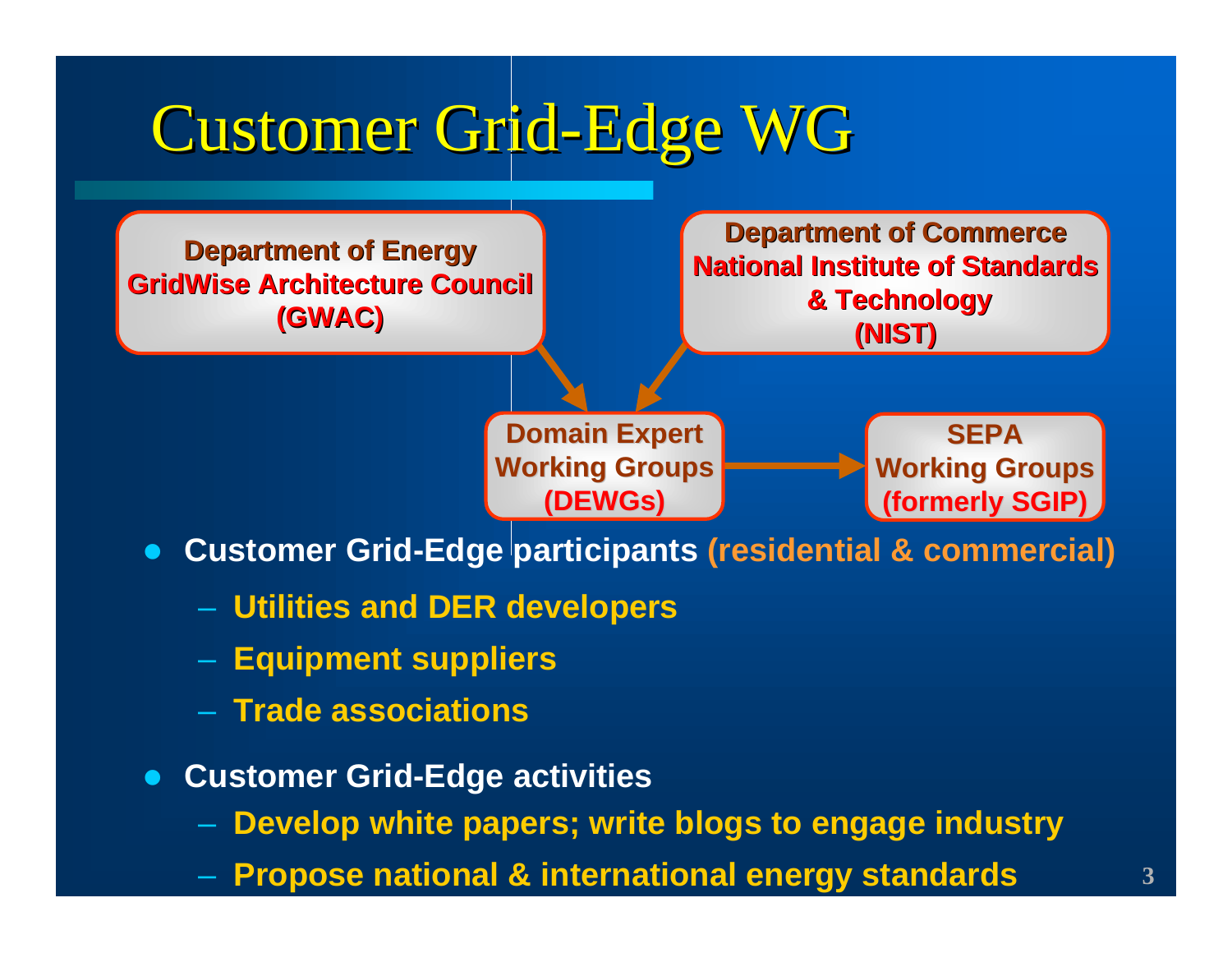# Customer Grid-Edge WG



- **Customer Grid-Edge activities** 
	- **Develop white papers; write blogs to engage industry**
	- **Propose national & international energy standards**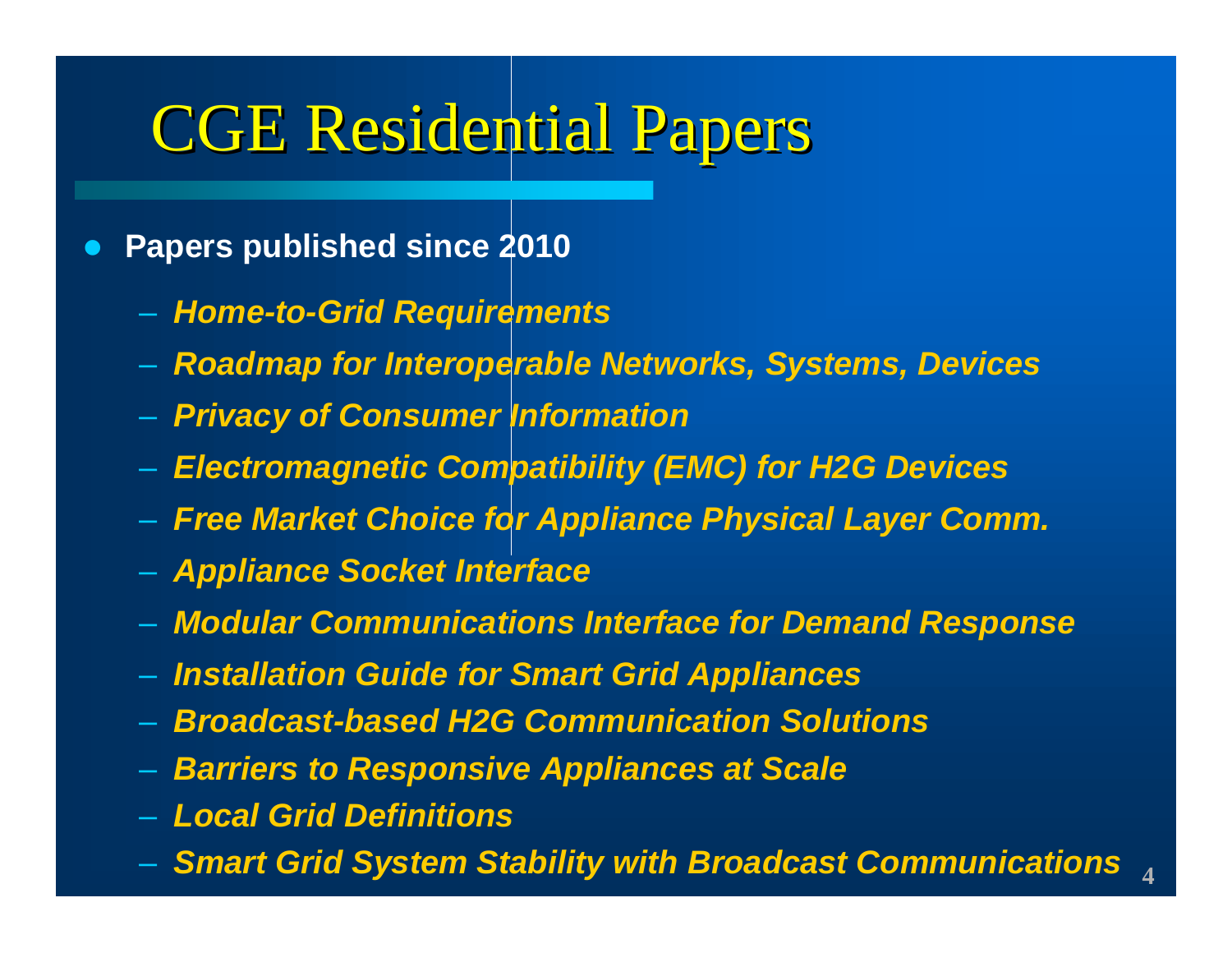### CGE Residential Papers

#### $\bullet$ **Papers published since 2010**

- *Home-to-Grid Requirements*
- *Roadmap for Interoperable Networks, Systems, Devices*
- *Privacy of Consumer Information*
- *Electromagnetic Compatibility (EMC) for H2G Devices*
- *Free Market Choice for Appliance Physical Layer Comm.*
- *Appliance Socket Interface*
- *Modular Communications Interface for Demand Response*
- *Installation Guide for Smart Grid Appliances*
- *Broadcast-based H2G Communication Solutions*
- *Barriers to Responsive Appliances at Scale*
- *Local Grid Definitions*
- **4**–*Smart Grid System Stability with Broadcast Communications*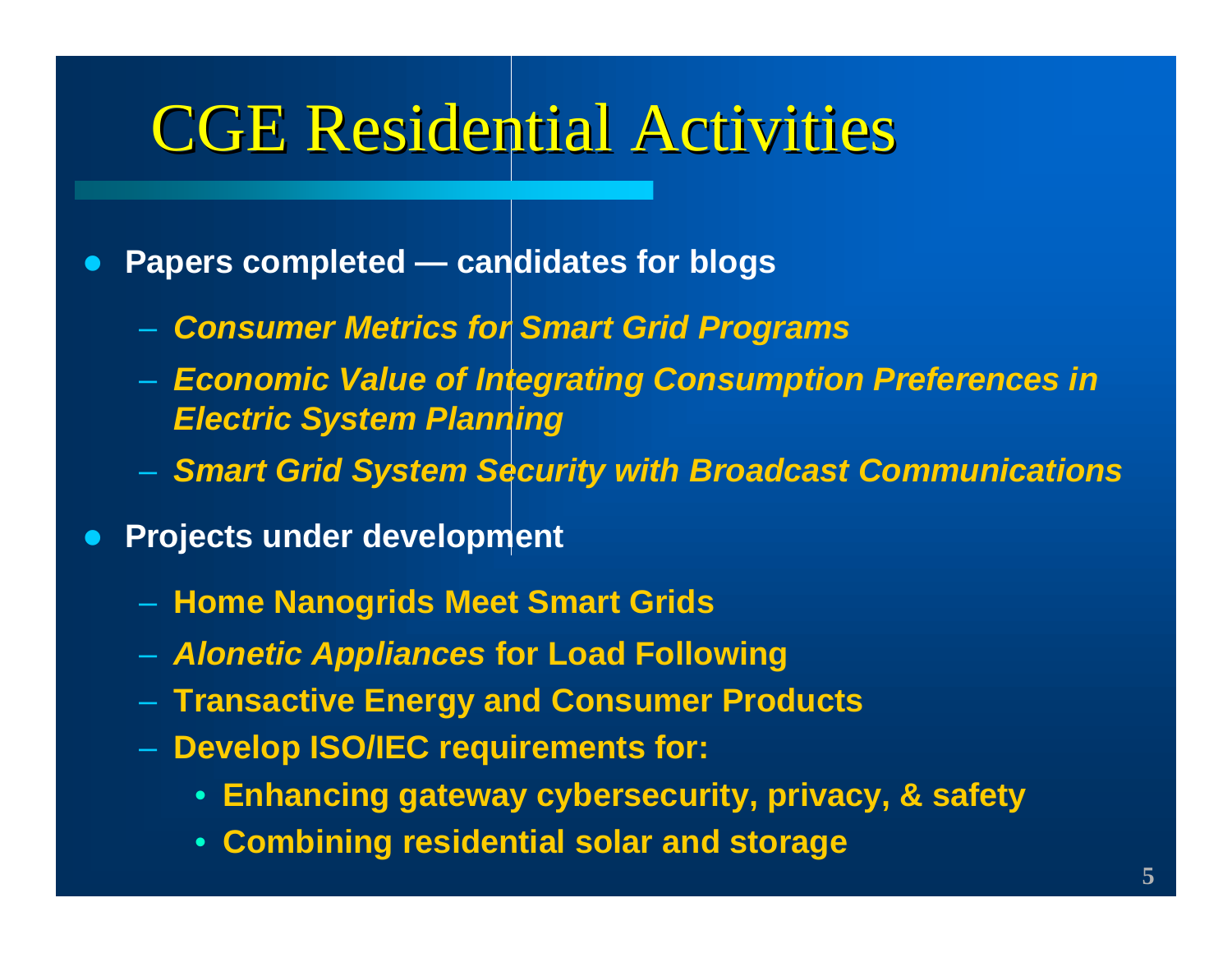### CGE Residential Activities

- $\bullet$  **Papers completed — candidates for blogs**
	- *Consumer Metrics for Smart Grid Programs*
	- *Economic Value of Integrating Consumption Preferences in Electric System Planning*
	- *Smart Grid System Security with Broadcast Communications*
- $\bullet$  **Projects under development**
	- **Home Nanogrids Meet Smart Grids**
	- *Alonetic Appliances* **for Load Following**
	- **Transactive Energy and Consumer Products**
	- **Develop ISO/IEC requirements for:**
		- **Enhancing gateway cybersecurity, privacy, & safety**
		- **Combining residential solar and storage**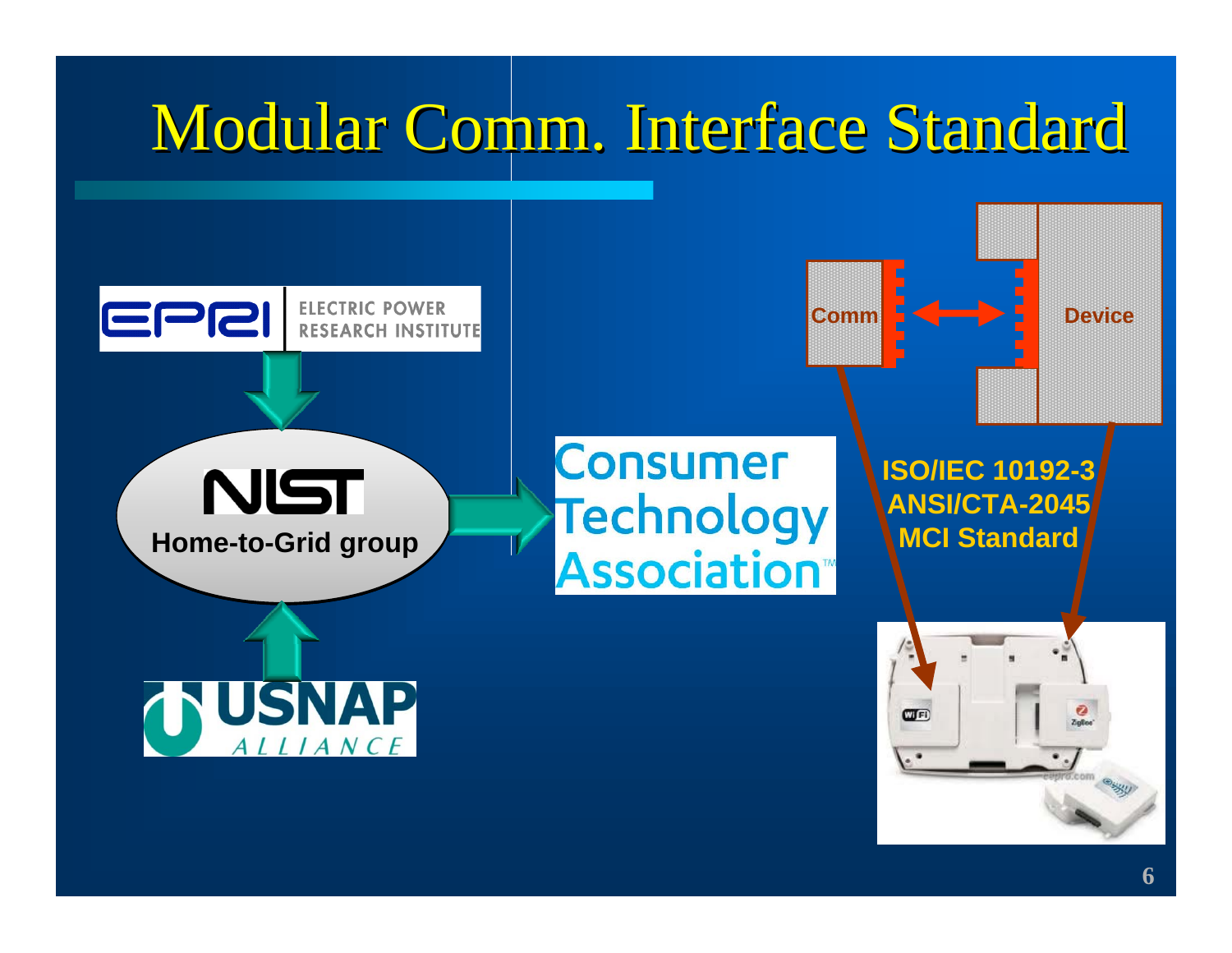